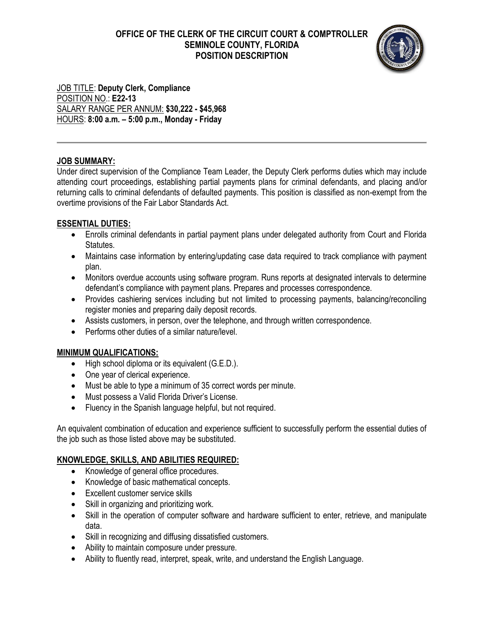# **OFFICE OF THE CLERK OF THE CIRCUIT COURT & COMPTROLLER SEMINOLE COUNTY, FLORIDA POSITION DESCRIPTION**



JOB TITLE: **Deputy Clerk, Compliance** POSITION NO.: **E22-13** SALARY RANGE PER ANNUM: **\$30,222 - \$45,968** HOURS: **8:00 a.m. – 5:00 p.m., Monday - Friday**

## **JOB SUMMARY:**

Under direct supervision of the Compliance Team Leader, the Deputy Clerk performs duties which may include attending court proceedings, establishing partial payments plans for criminal defendants, and placing and/or returning calls to criminal defendants of defaulted payments. This position is classified as non-exempt from the overtime provisions of the Fair Labor Standards Act.

## **ESSENTIAL DUTIES:**

- Enrolls criminal defendants in partial payment plans under delegated authority from Court and Florida Statutes.
- Maintains case information by entering/updating case data required to track compliance with payment plan.
- Monitors overdue accounts using software program. Runs reports at designated intervals to determine defendant's compliance with payment plans. Prepares and processes correspondence.
- Provides cashiering services including but not limited to processing payments, balancing/reconciling register monies and preparing daily deposit records.
- Assists customers, in person, over the telephone, and through written correspondence.
- Performs other duties of a similar nature/level.

## **MINIMUM QUALIFICATIONS:**

- High school diploma or its equivalent (G.E.D.).
- One year of clerical experience.
- Must be able to type a minimum of 35 correct words per minute.
- Must possess a Valid Florida Driver's License.
- Fluency in the Spanish language helpful, but not required.

An equivalent combination of education and experience sufficient to successfully perform the essential duties of the job such as those listed above may be substituted.

## **KNOWLEDGE, SKILLS, AND ABILITIES REQUIRED:**

- Knowledge of general office procedures.
- Knowledge of basic mathematical concepts.
- Excellent customer service skills
- Skill in organizing and prioritizing work.
- Skill in the operation of computer software and hardware sufficient to enter, retrieve, and manipulate data.
- Skill in recognizing and diffusing dissatisfied customers.
- Ability to maintain composure under pressure.
- Ability to fluently read, interpret, speak, write, and understand the English Language.